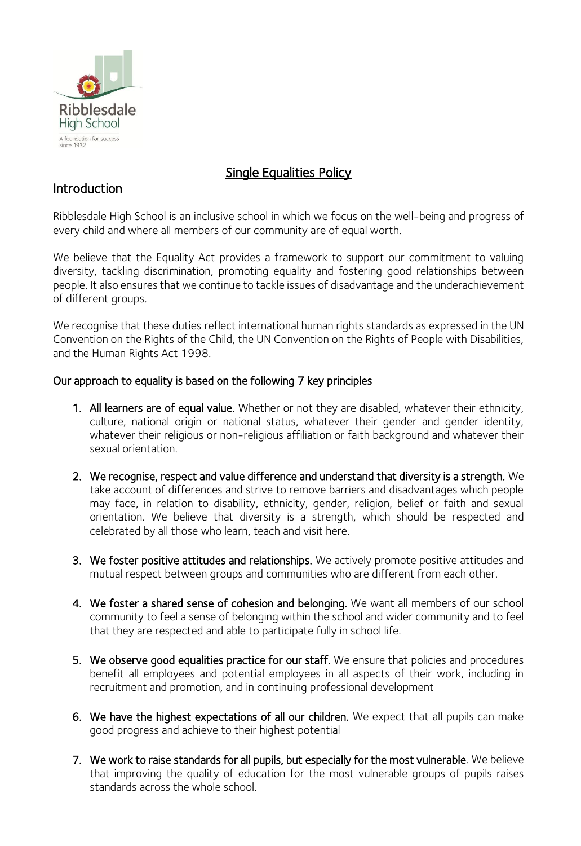

## Single Equalities Policy

### Introduction

Ribblesdale High School is an inclusive school in which we focus on the well-being and progress of every child and where all members of our community are of equal worth.

We believe that the Equality Act provides a framework to support our commitment to valuing diversity, tackling discrimination, promoting equality and fostering good relationships between people. It also ensures that we continue to tackle issues of disadvantage and the underachievement of different groups.

We recognise that these duties reflect international human rights standards as expressed in the UN Convention on the Rights of the Child, the UN Convention on the Rights of People with Disabilities, and the Human Rights Act 1998.

#### Our approach to equality is based on the following 7 key principles

- 1. All learners are of equal value. Whether or not they are disabled, whatever their ethnicity, culture, national origin or national status, whatever their gender and gender identity, whatever their religious or non-religious affiliation or faith background and whatever their sexual orientation.
- 2. We recognise, respect and value difference and understand that diversity is a strength. We take account of differences and strive to remove barriers and disadvantages which people may face, in relation to disability, ethnicity, gender, religion, belief or faith and sexual orientation. We believe that diversity is a strength, which should be respected and celebrated by all those who learn, teach and visit here.
- 3. We foster positive attitudes and relationships. We actively promote positive attitudes and mutual respect between groups and communities who are different from each other.
- 4. We foster a shared sense of cohesion and belonging. We want all members of our school community to feel a sense of belonging within the school and wider community and to feel that they are respected and able to participate fully in school life.
- 5. We observe good equalities practice for our staff. We ensure that policies and procedures benefit all employees and potential employees in all aspects of their work, including in recruitment and promotion, and in continuing professional development
- 6. We have the highest expectations of all our children. We expect that all pupils can make good progress and achieve to their highest potential
- 7. We work to raise standards for all pupils, but especially for the most vulnerable. We believe that improving the quality of education for the most vulnerable groups of pupils raises standards across the whole school.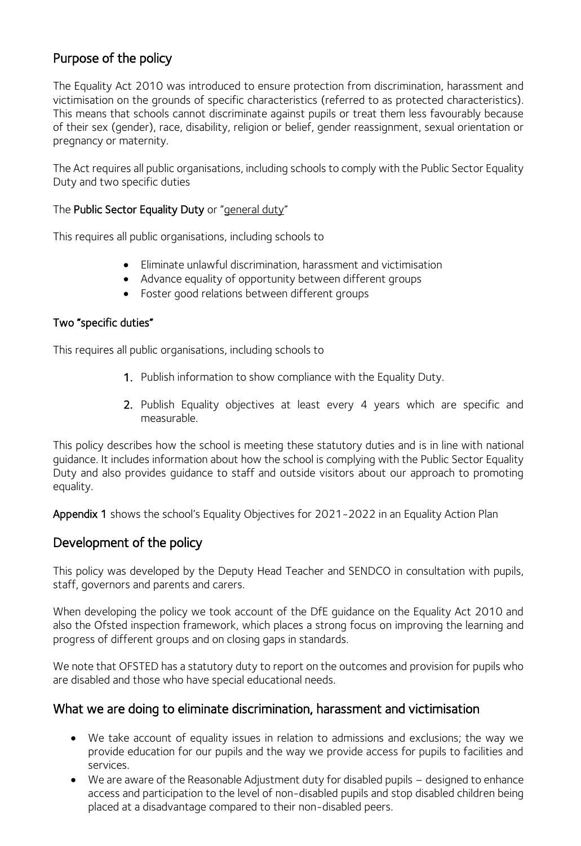## Purpose of the policy

The Equality Act 2010 was introduced to ensure protection from discrimination, harassment and victimisation on the grounds of specific characteristics (referred to as protected characteristics). This means that schools cannot discriminate against pupils or treat them less favourably because of their sex (gender), race, disability, religion or belief, gender reassignment, sexual orientation or pregnancy or maternity.

The Act requires all public organisations, including schools to comply with the Public Sector Equality Duty and two specific duties

#### The Public Sector Equality Duty or "general duty"

This requires all public organisations, including schools to

- Eliminate unlawful discrimination, harassment and victimisation
- Advance equality of opportunity between different groups
- Foster good relations between different groups

#### Two "specific duties"

This requires all public organisations, including schools to

- 1. Publish information to show compliance with the Equality Duty.
- 2. Publish Equality objectives at least every 4 years which are specific and measurable.

This policy describes how the school is meeting these statutory duties and is in line with national guidance. It includes information about how the school is complying with the Public Sector Equality Duty and also provides guidance to staff and outside visitors about our approach to promoting equality.

Appendix 1 shows the school's Equality Objectives for 2021-2022 in an Equality Action Plan

### Development of the policy

This policy was developed by the Deputy Head Teacher and SENDCO in consultation with pupils, staff, governors and parents and carers.

When developing the policy we took account of the DfE guidance on the Equality Act 2010 and also the Ofsted inspection framework, which places a strong focus on improving the learning and progress of different groups and on closing gaps in standards.

We note that OFSTED has a statutory duty to report on the outcomes and provision for pupils who are disabled and those who have special educational needs.

### What we are doing to eliminate discrimination, harassment and victimisation

- We take account of equality issues in relation to admissions and exclusions; the way we provide education for our pupils and the way we provide access for pupils to facilities and services.
- We are aware of the Reasonable Adjustment duty for disabled pupils designed to enhance access and participation to the level of non-disabled pupils and stop disabled children being placed at a disadvantage compared to their non-disabled peers.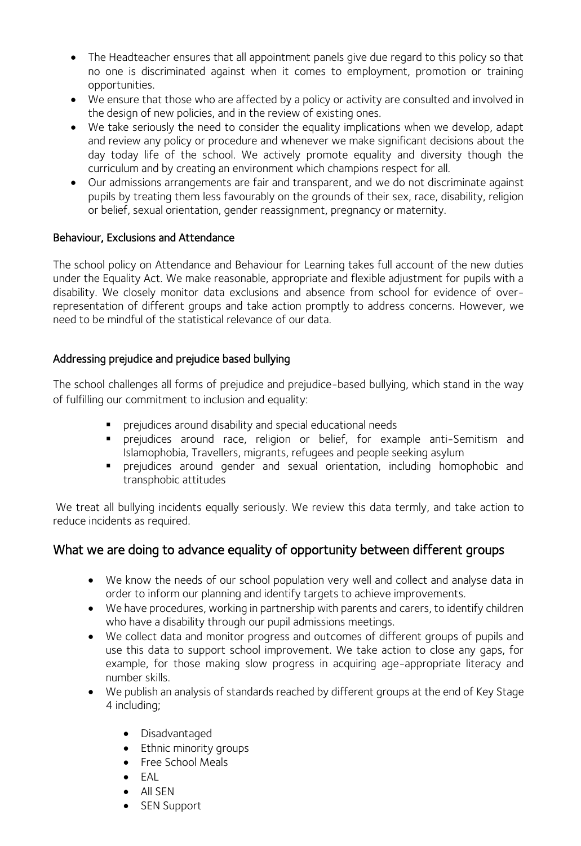- The Headteacher ensures that all appointment panels give due regard to this policy so that no one is discriminated against when it comes to employment, promotion or training opportunities.
- We ensure that those who are affected by a policy or activity are consulted and involved in the design of new policies, and in the review of existing ones.
- We take seriously the need to consider the equality implications when we develop, adapt and review any policy or procedure and whenever we make significant decisions about the day today life of the school. We actively promote equality and diversity though the curriculum and by creating an environment which champions respect for all.
- Our admissions arrangements are fair and transparent, and we do not discriminate against pupils by treating them less favourably on the grounds of their sex, race, disability, religion or belief, sexual orientation, gender reassignment, pregnancy or maternity.

### Behaviour, Exclusions and Attendance

The school policy on Attendance and Behaviour for Learning takes full account of the new duties under the Equality Act. We make reasonable, appropriate and flexible adjustment for pupils with a disability. We closely monitor data exclusions and absence from school for evidence of overrepresentation of different groups and take action promptly to address concerns. However, we need to be mindful of the statistical relevance of our data.

### Addressing prejudice and prejudice based bullying

The school challenges all forms of prejudice and prejudice-based bullying, which stand in the way of fulfilling our commitment to inclusion and equality:

- prejudices around disability and special educational needs
- prejudices around race, religion or belief, for example anti-Semitism and Islamophobia, Travellers, migrants, refugees and people seeking asylum
- prejudices around gender and sexual orientation, including homophobic and transphobic attitudes

We treat all bullying incidents equally seriously. We review this data termly, and take action to reduce incidents as required.

### What we are doing to advance equality of opportunity between different groups

- We know the needs of our school population very well and collect and analyse data in order to inform our planning and identify targets to achieve improvements.
- We have procedures, working in partnership with parents and carers, to identify children who have a disability through our pupil admissions meetings.
- We collect data and monitor progress and outcomes of different groups of pupils and use this data to support school improvement. We take action to close any gaps, for example, for those making slow progress in acquiring age-appropriate literacy and number skills.
- We publish an analysis of standards reached by different groups at the end of Key Stage 4 including;
	- Disadvantaged
	- Ethnic minority groups
	- Free School Meals
	- EAL
	- All SEN
	- SEN Support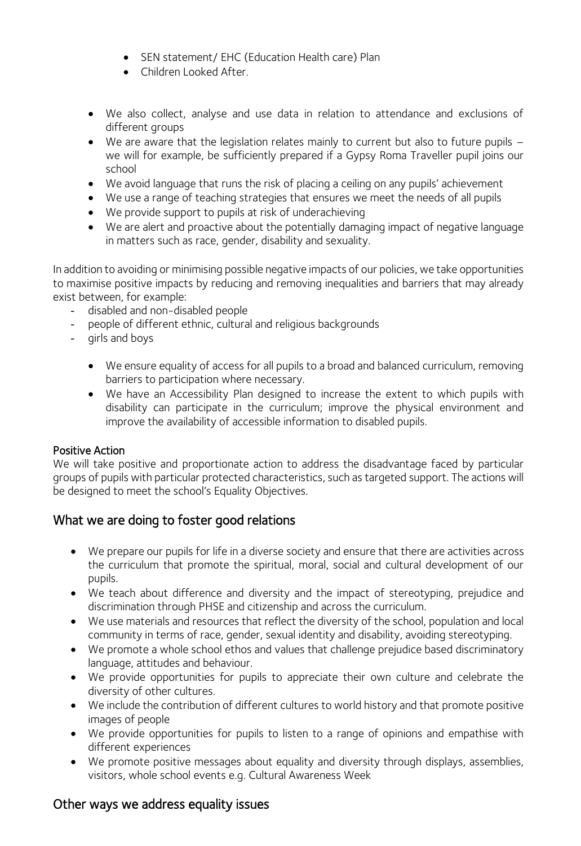- SEN statement/ EHC (Education Health care) Plan
- Children Looked After.
- We also collect, analyse and use data in relation to attendance and exclusions of different groups
- We are aware that the legislation relates mainly to current but also to future pupils we will for example, be sufficiently prepared if a Gypsy Roma Traveller pupil joins our school
- We avoid language that runs the risk of placing a ceiling on any pupils' achievement
- We use a range of teaching strategies that ensures we meet the needs of all pupils
- We provide support to pupils at risk of underachieving
- We are alert and proactive about the potentially damaging impact of negative language in matters such as race, gender, disability and sexuality.

In addition to avoiding or minimising possible negative impacts of our policies, we take opportunities to maximise positive impacts by reducing and removing inequalities and barriers that may already exist between, for example:

- disabled and non-disabled people
- people of different ethnic, cultural and religious backgrounds
- girls and boys
	- We ensure equality of access for all pupils to a broad and balanced curriculum, removing barriers to participation where necessary.
	- We have an Accessibility Plan designed to increase the extent to which pupils with disability can participate in the curriculum; improve the physical environment and improve the availability of accessible information to disabled pupils.

### Positive Action

We will take positive and proportionate action to address the disadvantage faced by particular groups of pupils with particular protected characteristics, such as targeted support. The actions will be designed to meet the school's Equality Objectives.

### What we are doing to foster good relations

- We prepare our pupils for life in a diverse society and ensure that there are activities across the curriculum that promote the spiritual, moral, social and cultural development of our pupils.
- We teach about difference and diversity and the impact of stereotyping, prejudice and discrimination through PHSE and citizenship and across the curriculum.
- We use materials and resources that reflect the diversity of the school, population and local community in terms of race, gender, sexual identity and disability, avoiding stereotyping.
- We promote a whole school ethos and values that challenge prejudice based discriminatory language, attitudes and behaviour.
- We provide opportunities for pupils to appreciate their own culture and celebrate the diversity of other cultures.
- We include the contribution of different cultures to world history and that promote positive images of people
- We provide opportunities for pupils to listen to a range of opinions and empathise with different experiences
- We promote positive messages about equality and diversity through displays, assemblies, visitors, whole school events e.g. Cultural Awareness Week

### Other ways we address equality issues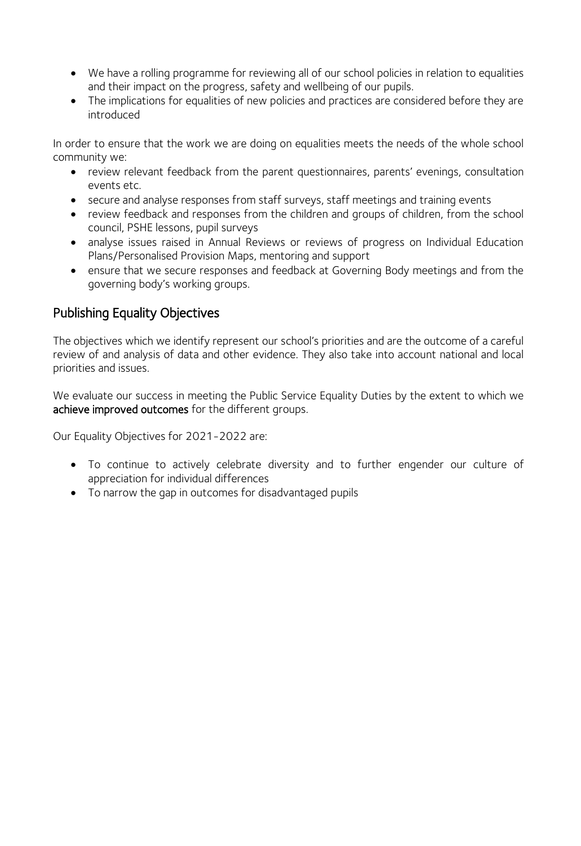- We have a rolling programme for reviewing all of our school policies in relation to equalities and their impact on the progress, safety and wellbeing of our pupils.
- The implications for equalities of new policies and practices are considered before they are introduced

In order to ensure that the work we are doing on equalities meets the needs of the whole school community we:

- review relevant feedback from the parent questionnaires, parents' evenings, consultation events etc.
- secure and analyse responses from staff surveys, staff meetings and training events
- review feedback and responses from the children and groups of children, from the school council, PSHE lessons, pupil surveys
- analyse issues raised in Annual Reviews or reviews of progress on Individual Education Plans/Personalised Provision Maps, mentoring and support
- ensure that we secure responses and feedback at Governing Body meetings and from the governing body's working groups.

### Publishing Equality Objectives

The objectives which we identify represent our school's priorities and are the outcome of a careful review of and analysis of data and other evidence. They also take into account national and local priorities and issues.

We evaluate our success in meeting the Public Service Equality Duties by the extent to which we achieve improved outcomes for the different groups.

Our Equality Objectives for 2021-2022 are:

- To continue to actively celebrate diversity and to further engender our culture of appreciation for individual differences
- To narrow the gap in outcomes for disadvantaged pupils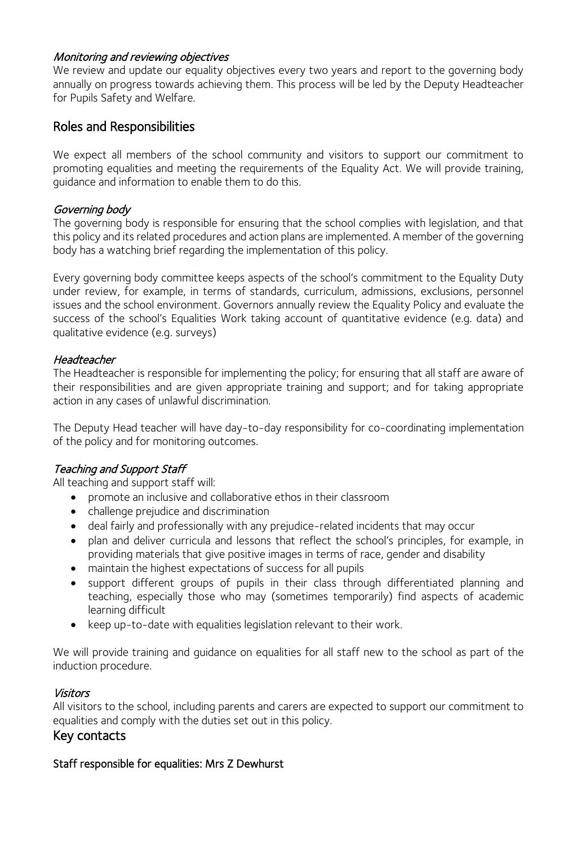#### Monitoring and reviewing objectives

We review and update our equality objectives every two years and report to the governing body annually on progress towards achieving them. This process will be led by the Deputy Headteacher for Pupils Safety and Welfare.

### Roles and Responsibilities

We expect all members of the school community and visitors to support our commitment to promoting equalities and meeting the requirements of the Equality Act. We will provide training, guidance and information to enable them to do this.

### Governing body

The governing body is responsible for ensuring that the school complies with legislation, and that this policy and its related procedures and action plans are implemented. A member of the governing body has a watching brief regarding the implementation of this policy.

Every governing body committee keeps aspects of the school's commitment to the Equality Duty under review, for example, in terms of standards, curriculum, admissions, exclusions, personnel issues and the school environment. Governors annually review the Equality Policy and evaluate the success of the school's Equalities Work taking account of quantitative evidence (e.g. data) and qualitative evidence (e.g. surveys)

#### **Headteacher**

The Headteacher is responsible for implementing the policy; for ensuring that all staff are aware of their responsibilities and are given appropriate training and support; and for taking appropriate action in any cases of unlawful discrimination.

The Deputy Head teacher will have day-to-day responsibility for co-coordinating implementation of the policy and for monitoring outcomes.

### Teaching and Support Staff

All teaching and support staff will:

- promote an inclusive and collaborative ethos in their classroom
- challenge prejudice and discrimination
- deal fairly and professionally with any prejudice-related incidents that may occur
- plan and deliver curricula and lessons that reflect the school's principles, for example, in providing materials that give positive images in terms of race, gender and disability
- maintain the highest expectations of success for all pupils
- support different groups of pupils in their class through differentiated planning and teaching, especially those who may (sometimes temporarily) find aspects of academic learning difficult
- keep up-to-date with equalities legislation relevant to their work.

We will provide training and quidance on equalities for all staff new to the school as part of the induction procedure.

#### Visitors

All visitors to the school, including parents and carers are expected to support our commitment to equalities and comply with the duties set out in this policy.

### Key contacts

#### Staff responsible for equalities: Mrs Z Dewhurst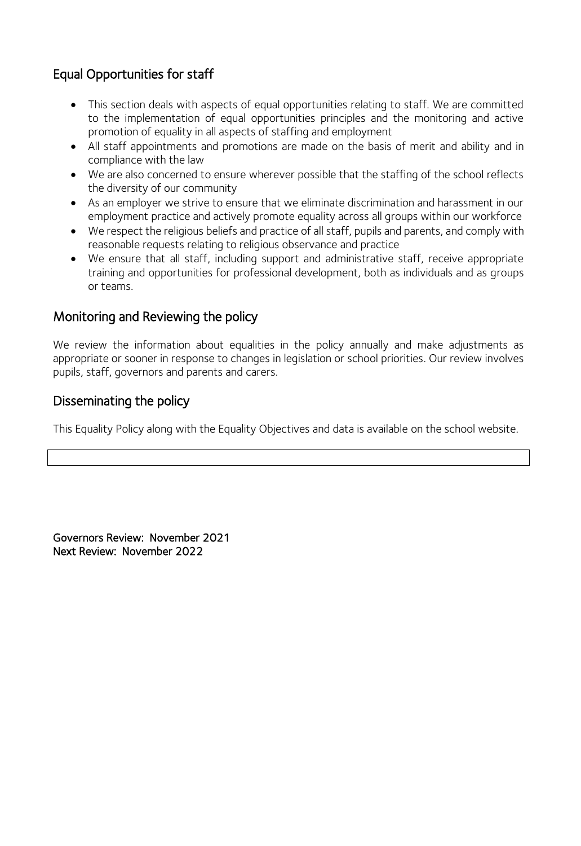## Equal Opportunities for staff

- This section deals with aspects of equal opportunities relating to staff. We are committed to the implementation of equal opportunities principles and the monitoring and active promotion of equality in all aspects of staffing and employment
- All staff appointments and promotions are made on the basis of merit and ability and in compliance with the law
- We are also concerned to ensure wherever possible that the staffing of the school reflects the diversity of our community
- As an employer we strive to ensure that we eliminate discrimination and harassment in our employment practice and actively promote equality across all groups within our workforce
- We respect the religious beliefs and practice of all staff, pupils and parents, and comply with reasonable requests relating to religious observance and practice
- We ensure that all staff, including support and administrative staff, receive appropriate training and opportunities for professional development, both as individuals and as groups or teams.

### Monitoring and Reviewing the policy

We review the information about equalities in the policy annually and make adjustments as appropriate or sooner in response to changes in legislation or school priorities. Our review involves pupils, staff, governors and parents and carers.

### Disseminating the policy

This Equality Policy along with the Equality Objectives and data is available on the school website.

Governors Review: November 2021 Next Review: November 2022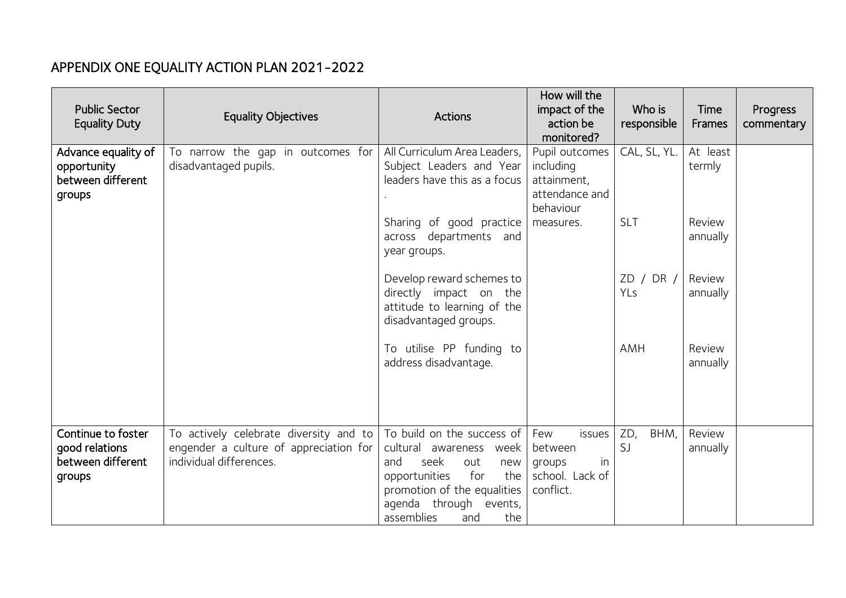# APPENDIX ONE EQUALITY ACTION PLAN 2021-2022

| <b>Public Sector</b><br><b>Equality Duty</b>                        | <b>Equality Objectives</b>                                                                                  | <b>Actions</b>                                                                                                                                                                                         | How will the<br>impact of the<br>action be<br>monitored?                  | Who is<br>responsible | Time<br>Frames     | Progress<br>commentary |
|---------------------------------------------------------------------|-------------------------------------------------------------------------------------------------------------|--------------------------------------------------------------------------------------------------------------------------------------------------------------------------------------------------------|---------------------------------------------------------------------------|-----------------------|--------------------|------------------------|
| Advance equality of<br>opportunity<br>between different<br>groups   | To narrow the gap in outcomes for<br>disadvantaged pupils.                                                  | All Curriculum Area Leaders,<br>Subject Leaders and Year<br>leaders have this as a focus                                                                                                               | Pupil outcomes<br>including<br>attainment,<br>attendance and<br>behaviour | CAL, SL, YL.          | At least<br>termly |                        |
|                                                                     |                                                                                                             | Sharing of good practice<br>across departments and<br>year groups.                                                                                                                                     | measures.                                                                 | <b>SLT</b>            | Review<br>annually |                        |
|                                                                     |                                                                                                             | Develop reward schemes to<br>directly impact on the<br>attitude to learning of the<br>disadvantaged groups.                                                                                            |                                                                           | ZD / DR /<br>YLs      | Review<br>annually |                        |
|                                                                     |                                                                                                             | To utilise PP funding to<br>address disadvantage.                                                                                                                                                      |                                                                           | AMH                   | Review<br>annually |                        |
| Continue to foster<br>good relations<br>between different<br>groups | To actively celebrate diversity and to<br>engender a culture of appreciation for<br>individual differences. | To build on the success of<br>cultural awareness week<br>seek<br>and<br>out<br>new<br>for<br>opportunities<br>the<br>promotion of the equalities<br>agenda through events,<br>assemblies<br>the<br>and | Few<br>issues<br>between<br>groups<br>in<br>school. Lack of<br>conflict.  | ZD,<br>BHM,<br>SJ     | Review<br>annually |                        |